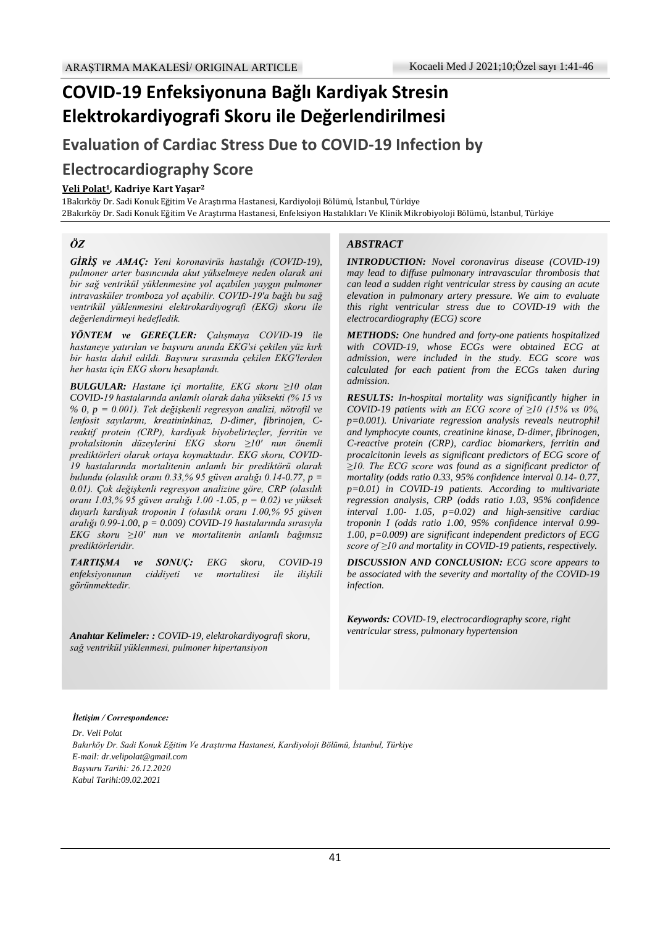# **COVID-19 Enfeksiyonuna Bağlı Kardiyak Stresin Elektrokardiyografi Skoru ile Değerlendirilmesi**

**Evaluation of Cardiac Stress Due to COVID-19 Infection by**

## **Electrocardiography Score**

#### **Veli Polat1, Kadriye Kart Yaşar<sup>2</sup>**

1Bakırköy Dr. Sadi Konuk Eğitim Ve Araştırma Hastanesi, Kardiyoloji Bölümü, İstanbul, Türkiye 2Bakırköy Dr. Sadi Konuk Eğitim Ve Araştırma Hastanesi, Enfeksiyon Hastalıkları Ve Klinik Mikrobiyoloji Bölümü, İstanbul, Türkiye

#### *ÖZ*

*GİRİŞ ve AMAÇ: Yeni koronavirüs hastalığı (COVID-19), pulmoner arter basıncında akut yükselmeye neden olarak ani bir sağ ventrikül yüklenmesine yol açabilen yaygın pulmoner intravasküler tromboza yol açabilir. COVID-19'a bağlı bu sağ ventrikül yüklenmesini elektrokardiyografi (EKG) skoru ile değerlendirmeyi hedefledik.*

*YÖNTEM ve GEREÇLER: Çalışmaya COVID-19 ile hastaneye yatırılan ve başvuru anında EKG'si çekilen yüz kırk bir hasta dahil edildi. Başvuru sırasında çekilen EKG'lerden her hasta için EKG skoru hesaplandı.*

*BULGULAR: Hastane içi mortalite, EKG skoru ≥10 olan COVID-19 hastalarında anlamlı olarak daha yüksekti (% 15 vs % 0, p = 0.001). Tek değişkenli regresyon analizi, nötrofil ve lenfosit sayılarını, kreatininkinaz, D-dimer, fibrinojen, Creaktif protein (CRP), kardiyak biyobelirteçler, ferritin ve prokalsitonin düzeylerini EKG skoru ≥10' nun önemli prediktörleri olarak ortaya koymaktadır. EKG skoru, COVID-19 hastalarında mortalitenin anlamlı bir prediktörü olarak bulundu (olasılık oranı 0.33,% 95 güven aralığı 0.14-0.77, p = 0.01). Çok değişkenli regresyon analizine göre, CRP (olasılık oranı 1.03,% 95 güven aralığı 1.00 -1.05, p = 0.02) ve yüksek duyarlı kardiyak troponin I (olasılık oranı 1.00,% 95 güven aralığı 0.99-1.00, p = 0.009) COVID-19 hastalarında sırasıyla EKG skoru ≥10' nun ve mortalitenin anlamlı bağımsız prediktörleridir.*

*TARTIŞMA ve SONUÇ: EKG skoru, COVID-19 enfeksiyonunun ciddiyeti ve mortalitesi ile ilişkili görünmektedir.*

*Anahtar Kelimeler: : COVID-19, elektrokardiyografi skoru, sağ ventrikül yüklenmesi, pulmoner hipertansiyon*

#### *ABSTRACT*

*INTRODUCTION: Novel coronavirus disease (COVID-19) may lead to diffuse pulmonary intravascular thrombosis that can lead a sudden right ventricular stress by causing an acute elevation in pulmonary artery pressure. We aim to evaluate this right ventricular stress due to COVID-19 with the electrocardiography (ECG) score*

*METHODS: One hundred and forty-one patients hospitalized with COVID-19, whose ECGs were obtained ECG at admission, were included in the study. ECG score was calculated for each patient from the ECGs taken during admission.*

*RESULTS: In-hospital mortality was significantly higher in COVID-19 patients with an ECG score of ≥10 (15% vs 0%, p=0.001). Univariate regression analysis reveals neutrophil and lymphocyte counts, creatinine kinase, D-dimer, fibrinogen, C-reactive protein (CRP), cardiac biomarkers, ferritin and procalcitonin levels as significant predictors of ECG score of ≥10. The ECG score was found as a significant predictor of mortality (odds ratio 0.33, 95% confidence interval 0.14- 0.77, p=0.01) in COVID-19 patients. According to multivariate regression analysis, CRP (odds ratio 1.03, 95% confidence interval 1.00- 1.05, p=0.02) and high-sensitive cardiac troponin I (odds ratio 1.00, 95% confidence interval 0.99- 1.00, p=0.009) are significant independent predictors of ECG score of ≥10 and mortality in COVID-19 patients, respectively.*

*DISCUSSION AND CONCLUSION: ECG score appears to be associated with the severity and mortality of the COVID-19 infection.*

*Keywords: COVID-19, electrocardiography score, right ventricular stress, pulmonary hypertension*

#### *İletişim / Correspondence:*

*Dr. Veli Polat Bakırköy Dr. Sadi Konuk Eğitim Ve Araştırma Hastanesi, Kardiyoloji Bölümü, İstanbul, Türkiye E-mail: dr.velipolat@gmail.com Başvuru Tarihi: 26.12.2020 Kabul Tarihi:09.02.2021*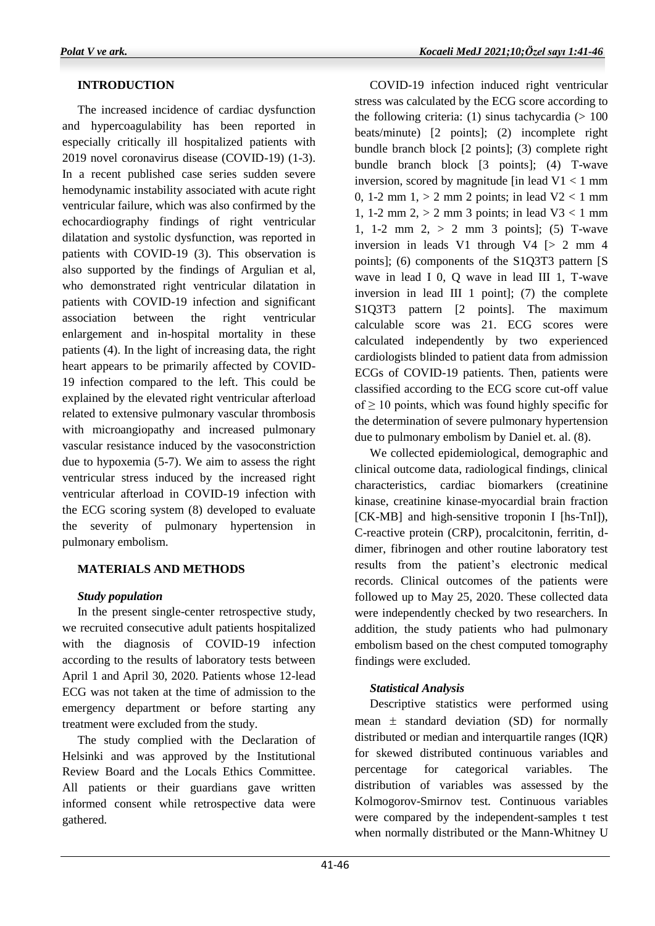### **INTRODUCTION**

 The increased incidence of cardiac dysfunction and hypercoagulability has been reported in especially critically ill hospitalized patients with 2019 novel coronavirus disease (COVID-19) (1-3). In a recent published case series sudden severe hemodynamic instability associated with acute right ventricular failure, which was also confirmed by the echocardiography findings of right ventricular dilatation and systolic dysfunction, was reported in patients with COVID-19 (3). This observation is also supported by the findings of Argulian et al, who demonstrated right ventricular dilatation in patients with COVID-19 infection and significant association between the right ventricular enlargement and in-hospital mortality in these patients (4). In the light of increasing data, the right heart appears to be primarily affected by COVID-19 infection compared to the left. This could be explained by the elevated right ventricular afterload related to extensive pulmonary vascular thrombosis with microangiopathy and increased pulmonary vascular resistance induced by the vasoconstriction due to hypoxemia (5-7). We aim to assess the right ventricular stress induced by the increased right ventricular afterload in COVID-19 infection with the ECG scoring system (8) developed to evaluate the severity of pulmonary hypertension in pulmonary embolism.

### **MATERIALS AND METHODS**

### *Study population*

 In the present single-center retrospective study, we recruited consecutive adult patients hospitalized with the diagnosis of COVID-19 infection according to the results of laboratory tests between April 1 and April 30, 2020. Patients whose 12-lead ECG was not taken at the time of admission to the emergency department or before starting any treatment were excluded from the study.

 The study complied with the Declaration of Helsinki and was approved by the Institutional Review Board and the Locals Ethics Committee. All patients or their guardians gave written informed consent while retrospective data were gathered.

 COVID-19 infection induced right ventricular stress was calculated by the ECG score according to the following criteria: (1) sinus tachycardia  $(>100$ beats/minute) [2 points]; (2) incomplete right bundle branch block [2 points]; (3) complete right bundle branch block [3 points]; (4) T-wave inversion, scored by magnitude  $\left[\text{in lead } V_1 \right]$  mm 0, 1-2 mm  $1, > 2$  mm 2 points; in lead  $V2 < 1$  mm 1, 1-2 mm 2,  $> 2$  mm 3 points; in lead V3  $< 1$  mm 1, 1-2 mm 2,  $> 2$  mm 3 points]; (5) T-wave inversion in leads V1 through V4  $\lceil$  > 2 mm 4 points]; (6) components of the S1Q3T3 pattern [S wave in lead I 0, Q wave in lead III 1, T-wave inversion in lead III 1 point]; (7) the complete S1Q3T3 pattern [2 points]. The maximum calculable score was 21. ECG scores were calculated independently by two experienced cardiologists blinded to patient data from admission ECGs of COVID-19 patients. Then, patients were classified according to the ECG score cut-off value of  $\geq$  10 points, which was found highly specific for the determination of severe pulmonary hypertension due to pulmonary embolism by Daniel et. al. (8).

 We collected epidemiological, demographic and clinical outcome data, radiological findings, clinical characteristics, cardiac biomarkers (creatinine kinase, creatinine kinase-myocardial brain fraction [CK-MB] and high-sensitive troponin I [hs-TnI]), C-reactive protein (CRP), procalcitonin, ferritin, ddimer, fibrinogen and other routine laboratory test results from the patient's electronic medical records. Clinical outcomes of the patients were followed up to May 25, 2020. These collected data were independently checked by two researchers. In addition, the study patients who had pulmonary embolism based on the chest computed tomography findings were excluded.

### *Statistical Analysis*

 Descriptive statistics were performed using mean  $\pm$  standard deviation (SD) for normally distributed or median and interquartile ranges (IQR) for skewed distributed continuous variables and percentage for categorical variables. The distribution of variables was assessed by the Kolmogorov-Smirnov test. Continuous variables were compared by the independent-samples t test when normally distributed or the Mann-Whitney U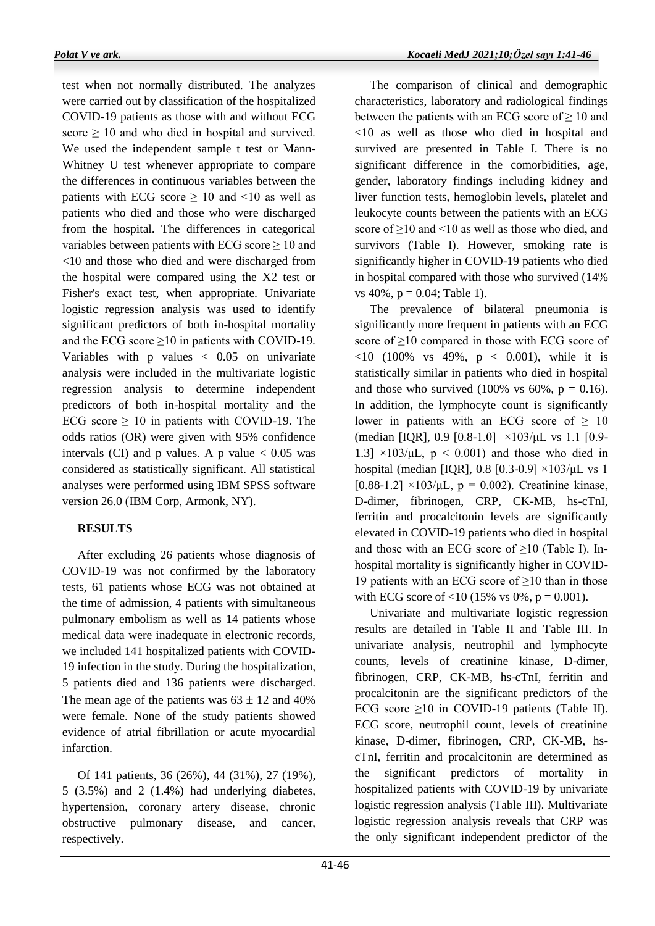test when not normally distributed. The analyzes were carried out by classification of the hospitalized COVID-19 patients as those with and without ECG score  $\geq$  10 and who died in hospital and survived. We used the independent sample t test or Mann-Whitney U test whenever appropriate to compare the differences in continuous variables between the patients with ECG score  $\geq 10$  and <10 as well as patients who died and those who were discharged from the hospital. The differences in categorical variables between patients with ECG score  $\geq 10$  and <10 and those who died and were discharged from the hospital were compared using the X2 test or Fisher's exact test, when appropriate. Univariate logistic regression analysis was used to identify significant predictors of both in-hospital mortality and the ECG score  $\geq 10$  in patients with COVID-19. Variables with p values  $\langle 0.05 \rangle$  on univariate analysis were included in the multivariate logistic regression analysis to determine independent predictors of both in-hospital mortality and the ECG score  $\geq$  10 in patients with COVID-19. The odds ratios (OR) were given with 95% confidence intervals (CI) and p values. A p value  $< 0.05$  was considered as statistically significant. All statistical analyses were performed using IBM SPSS software version 26.0 (IBM Corp, Armonk, NY).

### **RESULTS**

 After excluding 26 patients whose diagnosis of COVID-19 was not confirmed by the laboratory tests, 61 patients whose ECG was not obtained at the time of admission, 4 patients with simultaneous pulmonary embolism as well as 14 patients whose medical data were inadequate in electronic records, we included 141 hospitalized patients with COVID-19 infection in the study. During the hospitalization, 5 patients died and 136 patients were discharged. The mean age of the patients was  $63 \pm 12$  and  $40\%$ were female. None of the study patients showed evidence of atrial fibrillation or acute myocardial infarction.

 Of 141 patients, 36 (26%), 44 (31%), 27 (19%), 5 (3.5%) and 2 (1.4%) had underlying diabetes, hypertension, coronary artery disease, chronic obstructive pulmonary disease, and cancer, respectively.

 The comparison of clinical and demographic characteristics, laboratory and radiological findings between the patients with an ECG score of  $\geq 10$  and <10 as well as those who died in hospital and survived are presented in Table I. There is no significant difference in the comorbidities, age, gender, laboratory findings including kidney and liver function tests, hemoglobin levels, platelet and leukocyte counts between the patients with an ECG score of  $\geq$ 10 and <10 as well as those who died, and survivors (Table I). However, smoking rate is significantly higher in COVID-19 patients who died in hospital compared with those who survived (14% vs  $40\%$ ,  $p = 0.04$ ; Table 1).

 The prevalence of bilateral pneumonia is significantly more frequent in patients with an ECG score of  $\geq 10$  compared in those with ECG score of  $\langle 10 (100\% \text{ vs } 49\% \text{, } p \rangle < 0.001)$ , while it is statistically similar in patients who died in hospital and those who survived (100% vs 60%,  $p = 0.16$ ). In addition, the lymphocyte count is significantly lower in patients with an ECG score of  $\geq 10$ (median [IQR], 0.9 [0.8-1.0]  $\times$ 103/μL vs 1.1 [0.9-1.3]  $\times$ 103/μL, p < 0.001) and those who died in hospital (median [IQR], 0.8 [0.3-0.9]  $\times$ 103/μL vs 1 [0.88-1.2]  $\times$ 103/μL, p = 0.002). Creatinine kinase, D-dimer, fibrinogen, CRP, CK-MB, hs-cTnI, ferritin and procalcitonin levels are significantly elevated in COVID-19 patients who died in hospital and those with an ECG score of ≥10 (Table I). Inhospital mortality is significantly higher in COVID-19 patients with an ECG score of  $\geq$ 10 than in those with ECG score of <10 (15% vs 0%,  $p = 0.001$ ).

 Univariate and multivariate logistic regression results are detailed in Table II and Table III. In univariate analysis, neutrophil and lymphocyte counts, levels of creatinine kinase, D-dimer, fibrinogen, CRP, CK-MB, hs-cTnI, ferritin and procalcitonin are the significant predictors of the ECG score  $\geq 10$  in COVID-19 patients (Table II). ECG score, neutrophil count, levels of creatinine kinase, D-dimer, fibrinogen, CRP, CK-MB, hscTnI, ferritin and procalcitonin are determined as the significant predictors of mortality in hospitalized patients with COVID-19 by univariate logistic regression analysis (Table III). Multivariate logistic regression analysis reveals that CRP was the only significant independent predictor of the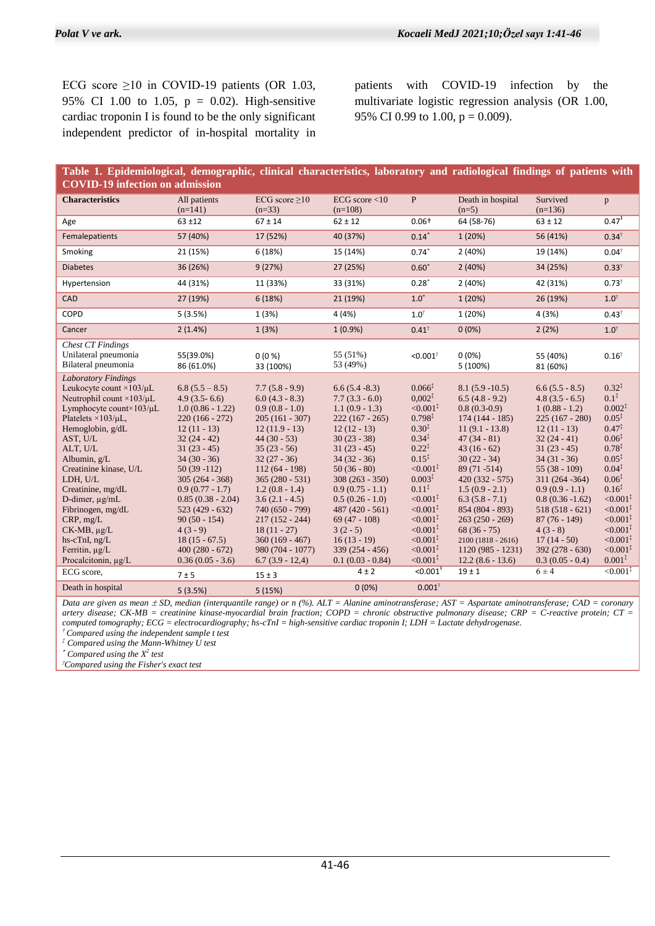ECG score  $\geq 10$  in COVID-19 patients (OR 1.03, 95% CI 1.00 to 1.05, p = 0.02). High-sensitive cardiac troponin I is found to be the only significant independent predictor of in-hospital mortality in patients with COVID-19 infection by the multivariate logistic regression analysis (OR 1.00, 95% CI 0.99 to 1.00,  $p = 0.009$ ).

| Table 1. Epidemiological, demographic, clinical characteristics, laboratory and radiological findings of patients with                                                                                                                                                                                                                                                                                                                                                |                                                                                                                                                                                                                                                                                                                                           |                                                                                                                                                                                                                                                                                                                                                       |                                                                                                                                                                                                                                                                                                                                               |                                                                                                                                                                                                                                                                                                                                                                                     |                                                                                                                                                                                                                                                                                                                                                                |                                                                                                                                                                                                                                                                                                                                             |                                                                                                                                                                                                                                                                                                                                                                                                                       |
|-----------------------------------------------------------------------------------------------------------------------------------------------------------------------------------------------------------------------------------------------------------------------------------------------------------------------------------------------------------------------------------------------------------------------------------------------------------------------|-------------------------------------------------------------------------------------------------------------------------------------------------------------------------------------------------------------------------------------------------------------------------------------------------------------------------------------------|-------------------------------------------------------------------------------------------------------------------------------------------------------------------------------------------------------------------------------------------------------------------------------------------------------------------------------------------------------|-----------------------------------------------------------------------------------------------------------------------------------------------------------------------------------------------------------------------------------------------------------------------------------------------------------------------------------------------|-------------------------------------------------------------------------------------------------------------------------------------------------------------------------------------------------------------------------------------------------------------------------------------------------------------------------------------------------------------------------------------|----------------------------------------------------------------------------------------------------------------------------------------------------------------------------------------------------------------------------------------------------------------------------------------------------------------------------------------------------------------|---------------------------------------------------------------------------------------------------------------------------------------------------------------------------------------------------------------------------------------------------------------------------------------------------------------------------------------------|-----------------------------------------------------------------------------------------------------------------------------------------------------------------------------------------------------------------------------------------------------------------------------------------------------------------------------------------------------------------------------------------------------------------------|
| <b>COVID-19 infection on admission</b>                                                                                                                                                                                                                                                                                                                                                                                                                                |                                                                                                                                                                                                                                                                                                                                           |                                                                                                                                                                                                                                                                                                                                                       |                                                                                                                                                                                                                                                                                                                                               |                                                                                                                                                                                                                                                                                                                                                                                     |                                                                                                                                                                                                                                                                                                                                                                |                                                                                                                                                                                                                                                                                                                                             |                                                                                                                                                                                                                                                                                                                                                                                                                       |
| <b>Characteristics</b>                                                                                                                                                                                                                                                                                                                                                                                                                                                | All patients<br>$(n=141)$                                                                                                                                                                                                                                                                                                                 | ECG score $\geq 10$<br>$(n=33)$                                                                                                                                                                                                                                                                                                                       | ECG score $<$ 10<br>$(n=108)$                                                                                                                                                                                                                                                                                                                 | $\mathbf{P}$                                                                                                                                                                                                                                                                                                                                                                        | Death in hospital<br>$(n=5)$                                                                                                                                                                                                                                                                                                                                   | Survived<br>$(n=136)$                                                                                                                                                                                                                                                                                                                       | $\mathbf{p}$                                                                                                                                                                                                                                                                                                                                                                                                          |
| Age                                                                                                                                                                                                                                                                                                                                                                                                                                                                   | $63 + 12$                                                                                                                                                                                                                                                                                                                                 | $67 \pm 14$                                                                                                                                                                                                                                                                                                                                           | $62 \pm 12$                                                                                                                                                                                                                                                                                                                                   | $0.06+$                                                                                                                                                                                                                                                                                                                                                                             | 64 (58-76)                                                                                                                                                                                                                                                                                                                                                     | $63 \pm 12$                                                                                                                                                                                                                                                                                                                                 | $0.47$ <sup>+</sup>                                                                                                                                                                                                                                                                                                                                                                                                   |
| Femalepatients                                                                                                                                                                                                                                                                                                                                                                                                                                                        | 57 (40%)                                                                                                                                                                                                                                                                                                                                  | 17 (52%)                                                                                                                                                                                                                                                                                                                                              | 40 (37%)                                                                                                                                                                                                                                                                                                                                      | $0.14*$                                                                                                                                                                                                                                                                                                                                                                             | 1(20%)                                                                                                                                                                                                                                                                                                                                                         | 56 (41%)                                                                                                                                                                                                                                                                                                                                    | $0.34^{\gamma}$                                                                                                                                                                                                                                                                                                                                                                                                       |
| Smoking                                                                                                                                                                                                                                                                                                                                                                                                                                                               | 21 (15%)                                                                                                                                                                                                                                                                                                                                  | 6 (18%)                                                                                                                                                                                                                                                                                                                                               | 15 (14%)                                                                                                                                                                                                                                                                                                                                      | $0.74*$                                                                                                                                                                                                                                                                                                                                                                             | 2(40%)                                                                                                                                                                                                                                                                                                                                                         | 19 (14%)                                                                                                                                                                                                                                                                                                                                    | $0.04^{\gamma}$                                                                                                                                                                                                                                                                                                                                                                                                       |
| <b>Diabetes</b>                                                                                                                                                                                                                                                                                                                                                                                                                                                       | 36 (26%)                                                                                                                                                                                                                                                                                                                                  | 9(27%)                                                                                                                                                                                                                                                                                                                                                | 27 (25%)                                                                                                                                                                                                                                                                                                                                      | $0.60*$                                                                                                                                                                                                                                                                                                                                                                             | 2(40%)                                                                                                                                                                                                                                                                                                                                                         | 34 (25%)                                                                                                                                                                                                                                                                                                                                    | $0.33^{\gamma}$                                                                                                                                                                                                                                                                                                                                                                                                       |
| Hypertension                                                                                                                                                                                                                                                                                                                                                                                                                                                          | 44 (31%)                                                                                                                                                                                                                                                                                                                                  | 11 (33%)                                                                                                                                                                                                                                                                                                                                              | 33 (31%)                                                                                                                                                                                                                                                                                                                                      | $0.28*$                                                                                                                                                                                                                                                                                                                                                                             | 2(40%)                                                                                                                                                                                                                                                                                                                                                         | 42 (31%)                                                                                                                                                                                                                                                                                                                                    | $0.73^{\gamma}$                                                                                                                                                                                                                                                                                                                                                                                                       |
| CAD                                                                                                                                                                                                                                                                                                                                                                                                                                                                   | 27 (19%)                                                                                                                                                                                                                                                                                                                                  | 6(18%)                                                                                                                                                                                                                                                                                                                                                | 21 (19%)                                                                                                                                                                                                                                                                                                                                      | $1.0^*$                                                                                                                                                                                                                                                                                                                                                                             | 1(20%)                                                                                                                                                                                                                                                                                                                                                         | 26 (19%)                                                                                                                                                                                                                                                                                                                                    | $1.0^{\gamma}$                                                                                                                                                                                                                                                                                                                                                                                                        |
| COPD                                                                                                                                                                                                                                                                                                                                                                                                                                                                  | 5(3.5%)                                                                                                                                                                                                                                                                                                                                   | 1(3%)                                                                                                                                                                                                                                                                                                                                                 | 4(4%)                                                                                                                                                                                                                                                                                                                                         | $1.0^{\gamma}$                                                                                                                                                                                                                                                                                                                                                                      | 1 (20%)                                                                                                                                                                                                                                                                                                                                                        | 4(3%)                                                                                                                                                                                                                                                                                                                                       | $0.43^{\gamma}$                                                                                                                                                                                                                                                                                                                                                                                                       |
| Cancer                                                                                                                                                                                                                                                                                                                                                                                                                                                                | 2(1.4%)                                                                                                                                                                                                                                                                                                                                   | 1(3%)                                                                                                                                                                                                                                                                                                                                                 | $1(0.9\%)$                                                                                                                                                                                                                                                                                                                                    | $0.41^{\gamma}$                                                                                                                                                                                                                                                                                                                                                                     | $0(0\%)$                                                                                                                                                                                                                                                                                                                                                       | 2(2%)                                                                                                                                                                                                                                                                                                                                       | $1.0^{\gamma}$                                                                                                                                                                                                                                                                                                                                                                                                        |
| <b>Chest CT Findings</b><br>Unilateral pneumonia<br>Bilateral pneumonia                                                                                                                                                                                                                                                                                                                                                                                               | 55(39.0%)<br>86 (61.0%)                                                                                                                                                                                                                                                                                                                   | $0(0\%)$<br>33 (100%)                                                                                                                                                                                                                                                                                                                                 | 55 (51%)<br>53 (49%)                                                                                                                                                                                                                                                                                                                          | <0.001 $^{\gamma}$                                                                                                                                                                                                                                                                                                                                                                  | $0(0\%)$<br>5 (100%)                                                                                                                                                                                                                                                                                                                                           | 55 (40%)<br>81 (60%)                                                                                                                                                                                                                                                                                                                        | $0.16^\gamma$                                                                                                                                                                                                                                                                                                                                                                                                         |
| <b>Laboratory Findings</b><br>Leukocyte count $\times$ 103/ $\mu$ L<br>Neutrophil count $\times$ 103/ $\mu$ L<br>Lymphocyte count $\times$ 103/ $\mu$ L<br>Platelets $\times$ 103/ $\mu$ L,<br>Hemoglobin, g/dL<br>AST, U/L<br>ALT, U/L<br>Albumin, g/L<br>Creatinine kinase, U/L<br>LDH, U/L<br>Creatinine, mg/dL<br>D-dimer, µg/mL<br>Fibrinogen, mg/dL<br>CRP, mg/L<br>$CK-MB$ , $\mu g/L$<br>$hs\text{-}cTnI, ng/L$<br>Ferritin, $\mu g/L$<br>Procalcitonin, µg/L | $6.8(5.5 - 8.5)$<br>$4.9(3.5-6.6)$<br>$1.0(0.86 - 1.22)$<br>$220(166 - 272)$<br>$12(11 - 13)$<br>$32(24-42)$<br>$31(23-45)$<br>$34(30-36)$<br>$50(39-112)$<br>$305(264 - 368)$<br>$0.9(0.77 - 1.7)$<br>$0.85(0.38 - 2.04)$<br>$523(429 - 632)$<br>$90(50 - 154)$<br>$4(3-9)$<br>$18(15 - 67.5)$<br>$400(280 - 672)$<br>$0.36(0.05 - 3.6)$ | $7.7(5.8-9.9)$<br>$6.0(4.3 - 8.3)$<br>$0.9(0.8 - 1.0)$<br>$205(161 - 307)$<br>$12(11.9 - 13)$<br>$44(30 - 53)$<br>$35(23 - 56)$<br>$32(27 - 36)$<br>$112(64 - 198)$<br>$365(280 - 531)$<br>$1.2(0.8 - 1.4)$<br>$3.6(2.1 - 4.5)$<br>740 (650 - 799)<br>$217(152 - 244)$<br>$18(11 - 27)$<br>$360(169 - 467)$<br>$980(704 - 1077)$<br>$6.7(3.9 - 12.4)$ | $6.6(5.4 - 8.3)$<br>$7.7(3.3-6.0)$<br>$1.1(0.9 - 1.3)$<br>$222(167 - 265)$<br>$12(12-13)$<br>$30(23 - 38)$<br>$31(23-45)$<br>$34(32 - 36)$<br>$50(36-80)$<br>$308(263 - 350)$<br>$0.9(0.75 - 1.1)$<br>$0.5(0.26-1.0)$<br>$487(420 - 561)$<br>$69(47 - 108)$<br>$3(2-5)$<br>$16(13-19)$<br>$339(254 - 456)$<br>$0.1(0.03 - 0.84)$<br>$4 \pm 2$ | $0.066^{\frac{1}{4}}$<br>$0.002^{\ddagger}$<br>$< 0.001$ <sup>*</sup><br>$0.798^{\ddagger}$<br>$0.30^{\ddagger}$<br>$0.34^{\ddagger}$<br>$0.22^{\ddagger}$<br>$0.15^{\ddagger}$<br>$< 0.001^*$<br>$0.003*$<br>$0.11^{*}$<br>$\leq 0.001^{\ddagger}$<br>$< 0.001^*$<br>$\leq 0.001^{\ddagger}$<br>$< 0.001^*$<br>$< 0.001^*$<br>$< 0.001^*$<br>$< 0.001^*$<br>$< 0.001$ <sup>+</sup> | $8.1(5.9-10.5)$<br>$6.5(4.8-9.2)$<br>$0.8(0.3-0.9)$<br>$174(144 - 185)$<br>$11(9.1 - 13.8)$<br>$47(34-81)$<br>$43(16-62)$<br>$30(22 - 34)$<br>89 (71 - 514)<br>$420(332 - 575)$<br>$1.5(0.9 - 2.1)$<br>$6.3(5.8 - 7.1)$<br>854 (804 - 893)<br>$263(250 - 269)$<br>$68(36-75)$<br>$2100(1818 - 2616)$<br>$1120(985 - 1231)$<br>$12.2(8.6 - 13.6)$<br>$19 \pm 1$ | $6.6(5.5 - 8.5)$<br>$4.8(3.5 - 6.5)$<br>$1(0.88 - 1.2)$<br>$225(167 - 280)$<br>$12(11 - 13)$<br>$32(24-41)$<br>$31(23-45)$<br>$34(31 - 36)$<br>$55(38-109)$<br>311 (264 - 364)<br>$0.9(0.9 - 1.1)$<br>$0.8(0.36 - 1.62)$<br>$518(518-621)$<br>$87(76-149)$<br>$4(3-8)$<br>$17(14-50)$<br>$392(278 - 630)$<br>$0.3(0.05 - 0.4)$<br>$6 \pm 4$ | $0.32^{\ddagger}$<br>$0.1^*$<br>$0.002^*$<br>$0.05^{\ddagger}$<br>$0.47^{\ddagger}$<br>$0.06^{\ddagger}$<br>$0.78^{\ddagger}$<br>$0.05^{\ddagger}$<br>$0.04^{\ddagger}$<br>$0.06^{\ddagger}$<br>$0.16^{\ddagger}$<br>$\leq 0.001^{\ddagger}$<br>$< 0.001$ <sup>*</sup><br>$< 0.001^{\ddagger}$<br>$\leq 0.001^{\ddagger}$<br>$< 0.001$ <sup>‡</sup><br>${<}0.001$ <sup>*</sup><br>$0.001^*$<br>$< 0.001$ <sup>‡</sup> |
| ECG score,                                                                                                                                                                                                                                                                                                                                                                                                                                                            | 7±5                                                                                                                                                                                                                                                                                                                                       | $15 \pm 3$                                                                                                                                                                                                                                                                                                                                            |                                                                                                                                                                                                                                                                                                                                               | $0.001^{\gamma}$                                                                                                                                                                                                                                                                                                                                                                    |                                                                                                                                                                                                                                                                                                                                                                |                                                                                                                                                                                                                                                                                                                                             |                                                                                                                                                                                                                                                                                                                                                                                                                       |
| Death in hospital                                                                                                                                                                                                                                                                                                                                                                                                                                                     | 5(3.5%)                                                                                                                                                                                                                                                                                                                                   | 5(15%)                                                                                                                                                                                                                                                                                                                                                | $0(0\%)$                                                                                                                                                                                                                                                                                                                                      |                                                                                                                                                                                                                                                                                                                                                                                     |                                                                                                                                                                                                                                                                                                                                                                |                                                                                                                                                                                                                                                                                                                                             |                                                                                                                                                                                                                                                                                                                                                                                                                       |

*Data are given as mean SD, median (interquantile range) or n (%). ALT = Alanine aminotransferase; AST = Aspartate aminotransferase; CAD = coronary artery disease; CK-MB = creatinine kinase-myocardial brain fraction; COPD = chronic obstructive pulmonary disease; CRP = C-reactive protein; CT = computed tomography; ECG = electrocardiography; hs-cTnI = high-sensitive cardiac troponin I; LDH = Lactate dehydrogenase.*

*† Compared using the independent sample t test*

*‡ Compared using the Mann-Whitney U test*

*Compared using the X<sup>2</sup> test* 

*Compared using the Fisher's exact test*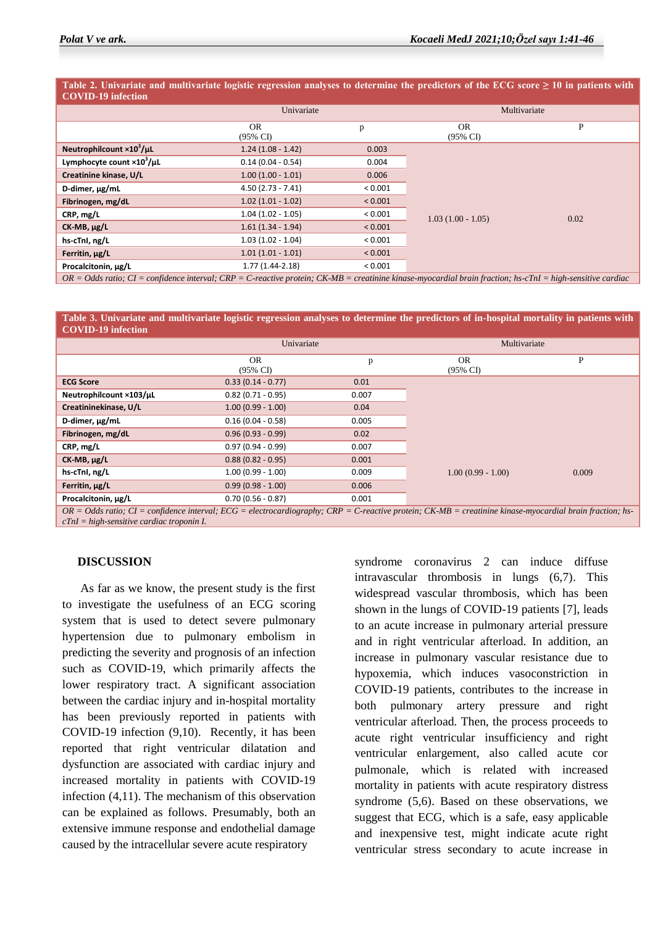**Table 2. Univariate and multivariate logistic regression analyses to determine the predictors of the ECG score ≥ 10 in patients with COVID-19 infection**

|                                                                                                                                                                             | Univariate                 |         | Multivariate                     |      |  |  |
|-----------------------------------------------------------------------------------------------------------------------------------------------------------------------------|----------------------------|---------|----------------------------------|------|--|--|
|                                                                                                                                                                             | OR.<br>$(95\% \text{ C}I)$ | p       | <b>OR</b><br>$(95\% \text{ CI})$ | P    |  |  |
| Neutrophilcount ×10 <sup>3</sup> /uL                                                                                                                                        | $1.24(1.08 - 1.42)$        | 0.003   |                                  | 0.02 |  |  |
| Lymphocyte count $\times 10^3$ /µL                                                                                                                                          | $0.14(0.04 - 0.54)$        | 0.004   |                                  |      |  |  |
| Creatinine kinase, U/L                                                                                                                                                      | $1.00(1.00 - 1.01)$        | 0.006   |                                  |      |  |  |
| D-dimer, ug/mL                                                                                                                                                              | $4.50(2.73 - 7.41)$        | < 0.001 |                                  |      |  |  |
| Fibrinogen, mg/dL                                                                                                                                                           | $1.02(1.01 - 1.02)$        | < 0.001 |                                  |      |  |  |
| CRP, mg/L                                                                                                                                                                   | $1.04(1.02 - 1.05)$        | < 0.001 | $1.03(1.00 - 1.05)$              |      |  |  |
| $CK$ -MB, $\mu$ g/L                                                                                                                                                         | $1.61(1.34 - 1.94)$        | < 0.001 |                                  |      |  |  |
| hs-cTnl, ng/L                                                                                                                                                               | $1.03(1.02 - 1.04)$        | < 0.001 |                                  |      |  |  |
| Ferritin, ug/L                                                                                                                                                              | $1.01(1.01 - 1.01)$        | < 0.001 |                                  |      |  |  |
| Procalcitonin, µg/L                                                                                                                                                         | $1.77(1.44-2.18)$          | < 0.001 |                                  |      |  |  |
| $OR = Odds$ ratio; $CI = confidence$ interval; $CRP = C$ -reactive protein; $CK-MB = creation$ reatinine kinase-myocardial brain fraction; hs-cTnI = high-sensitive cardiac |                            |         |                                  |      |  |  |

**Table 3. Univariate and multivariate logistic regression analyses to determine the predictors of in-hospital mortality in patients with COVID-19 infection**

|                                                                                                                                                                    | Univariate                 |       | Multivariate                     |       |  |  |
|--------------------------------------------------------------------------------------------------------------------------------------------------------------------|----------------------------|-------|----------------------------------|-------|--|--|
|                                                                                                                                                                    | OR.<br>$(95\% \text{ C}I)$ | p     | <b>OR</b><br>$(95\% \text{ CI})$ | P     |  |  |
| <b>ECG Score</b>                                                                                                                                                   | $0.33(0.14 - 0.77)$        | 0.01  |                                  |       |  |  |
| Neutrophilcount ×103/µL                                                                                                                                            | $0.82(0.71 - 0.95)$        | 0.007 |                                  |       |  |  |
| Creatininekinase, U/L                                                                                                                                              | $1.00(0.99 - 1.00)$        | 0.04  |                                  |       |  |  |
| D-dimer, µg/mL                                                                                                                                                     | $0.16(0.04 - 0.58)$        | 0.005 |                                  |       |  |  |
| Fibrinogen, mg/dL                                                                                                                                                  | $0.96(0.93 - 0.99)$        | 0.02  |                                  |       |  |  |
| CRP, mg/L                                                                                                                                                          | $0.97(0.94 - 0.99)$        | 0.007 |                                  |       |  |  |
| $CK$ -MB, $\mu$ g/L                                                                                                                                                | $0.88(0.82 - 0.95)$        | 0.001 |                                  |       |  |  |
| hs-cTnl, ng/L                                                                                                                                                      | $1.00(0.99 - 1.00)$        | 0.009 | $1.00(0.99 - 1.00)$              | 0.009 |  |  |
| Ferritin, µg/L                                                                                                                                                     | $0.99(0.98 - 1.00)$        | 0.006 |                                  |       |  |  |
| Procalcitonin, µg/L                                                                                                                                                | $0.70(0.56 - 0.87)$        | 0.001 |                                  |       |  |  |
| $OR - Odds$ ratio: $CI - confidence$ interval: $FCG - electrocardiography$ ; $CRP - C$ -reactive protein: $CK\_MR - creation$ knase-myocardial brain fraction; hs- |                            |       |                                  |       |  |  |

*OR = Odds ratio; CI = confidence interval; ECG = electrocardiography; CRP = C-reactive protein; CK-MB = creatinine kinase-myocardial brain fraction; hscTnI = high-sensitive cardiac troponin I.*

#### **DISCUSSION**

 As far as we know, the present study is the first to investigate the usefulness of an ECG scoring system that is used to detect severe pulmonary hypertension due to pulmonary embolism in predicting the severity and prognosis of an infection such as COVID-19, which primarily affects the lower respiratory tract. A significant association between the cardiac injury and in-hospital mortality has been previously reported in patients with COVID-19 infection (9,10). Recently, it has been reported that right ventricular dilatation and dysfunction are associated with cardiac injury and increased mortality in patients with COVID-19 infection (4,11). The mechanism of this observation can be explained as follows. Presumably, both an extensive immune response and endothelial damage caused by the intracellular severe acute respiratory

syndrome coronavirus 2 can induce diffuse intravascular thrombosis in lungs (6,7). This widespread vascular thrombosis, which has been shown in the lungs of COVID-19 patients [7], leads to an acute increase in pulmonary arterial pressure and in right ventricular afterload. In addition, an increase in pulmonary vascular resistance due to hypoxemia, which induces vasoconstriction in COVID-19 patients, contributes to the increase in both pulmonary artery pressure and right ventricular afterload. Then, the process proceeds to acute right ventricular insufficiency and right ventricular enlargement, also called acute cor pulmonale, which is related with increased mortality in patients with acute respiratory distress syndrome (5,6). Based on these observations, we suggest that ECG, which is a safe, easy applicable and inexpensive test, might indicate acute right ventricular stress secondary to acute increase in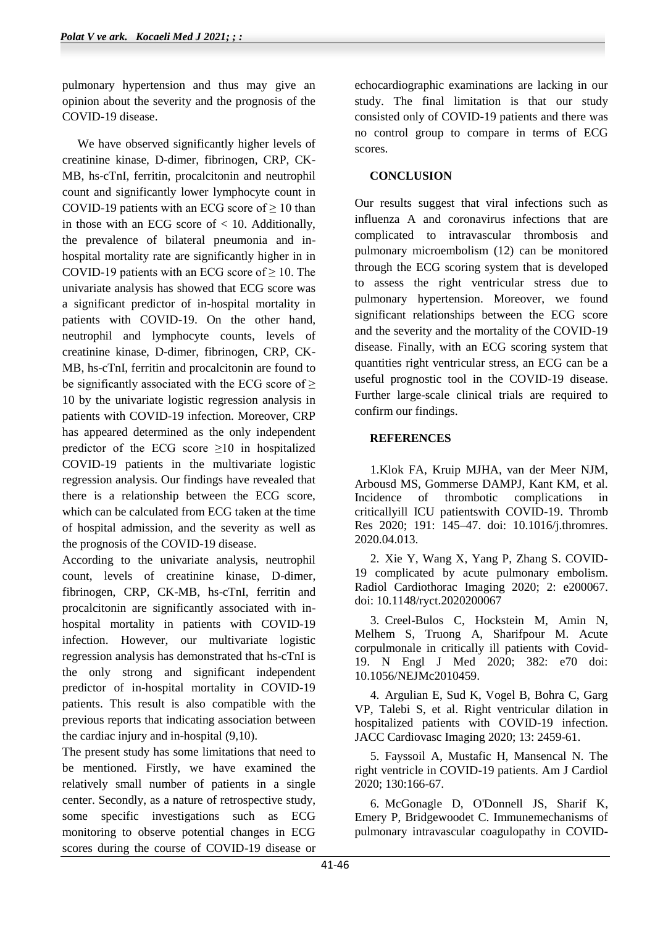pulmonary hypertension and thus may give an opinion about the severity and the prognosis of the COVID-19 disease.

 We have observed significantly higher levels of creatinine kinase, D-dimer, fibrinogen, CRP, CK-MB, hs-cTnI, ferritin, procalcitonin and neutrophil count and significantly lower lymphocyte count in COVID-19 patients with an ECG score of  $\geq 10$  than in those with an ECG score of  $< 10$ . Additionally, the prevalence of bilateral pneumonia and inhospital mortality rate are significantly higher in in COVID-19 patients with an ECG score of  $\geq$  10. The univariate analysis has showed that ECG score was a significant predictor of in-hospital mortality in patients with COVID-19. On the other hand, neutrophil and lymphocyte counts, levels of creatinine kinase, D-dimer, fibrinogen, CRP, CK-MB, hs-cTnI, ferritin and procalcitonin are found to be significantly associated with the ECG score of  $\geq$ 10 by the univariate logistic regression analysis in patients with COVID-19 infection. Moreover, CRP has appeared determined as the only independent predictor of the ECG score  $\geq 10$  in hospitalized COVID-19 patients in the multivariate logistic regression analysis. Our findings have revealed that there is a relationship between the ECG score, which can be calculated from ECG taken at the time of hospital admission, and the severity as well as the prognosis of the COVID-19 disease.

According to the univariate analysis, neutrophil count, levels of creatinine kinase, D-dimer, fibrinogen, CRP, CK-MB, hs-cTnI, ferritin and procalcitonin are significantly associated with inhospital mortality in patients with COVID-19 infection. However, our multivariate logistic regression analysis has demonstrated that hs-cTnI is the only strong and significant independent predictor of in-hospital mortality in COVID-19 patients. This result is also compatible with the previous reports that indicating association between the cardiac injury and in-hospital (9,10).

The present study has some limitations that need to be mentioned. Firstly, we have examined the relatively small number of patients in a single center. Secondly, as a nature of retrospective study, some specific investigations such as ECG monitoring to observe potential changes in ECG scores during the course of COVID-19 disease or

echocardiographic examinations are lacking in our study. The final limitation is that our study consisted only of COVID-19 patients and there was no control group to compare in terms of ECG scores.

### **CONCLUSION**

Our results suggest that viral infections such as influenza A and coronavirus infections that are complicated to intravascular thrombosis and pulmonary microembolism (12) can be monitored through the ECG scoring system that is developed to assess the right ventricular stress due to pulmonary hypertension. Moreover, we found significant relationships between the ECG score and the severity and the mortality of the COVID-19 disease. Finally, with an ECG scoring system that quantities right ventricular stress, an ECG can be a useful prognostic tool in the COVID-19 disease. Further large-scale clinical trials are required to confirm our findings.

### **REFERENCES**

1.Klok FA, Kruip MJHA, van der Meer NJM, Arbousd MS, Gommerse DAMPJ, Kant KM, et al. Incidence of thrombotic complications in criticallyill ICU patientswith COVID-19. Thromb Res 2020; 191: 145–47. doi: 10.1016/j.thromres. 2020.04.013.

2. Xie Y, Wang X, Yang P, Zhang S. COVID-19 complicated by acute pulmonary embolism. Radiol Cardiothorac Imaging 2020; 2: e200067. doi: 10.1148/ryct.2020200067

3. Creel-Bulos C, Hockstein M, Amin N, Melhem S, Truong A, Sharifpour M. Acute corpulmonale in critically ill patients with Covid-19. N Engl J Med 2020; 382: e70 doi: 10.1056/NEJMc2010459.

4. Argulian E, Sud K, Vogel B, Bohra C, Garg VP, Talebi S, et al. Right ventricular dilation in hospitalized patients with COVID-19 infection. JACC Cardiovasc Imaging 2020; 13: 2459-61.

5. Fayssoil A, Mustafic H, Mansencal N. The right ventricle in COVID-19 patients. Am J Cardiol 2020; 130:166-67.

6. McGonagle D, O'Donnell JS, Sharif K, Emery P, Bridgewoodet C. Immunemechanisms of pulmonary intravascular coagulopathy in COVID-